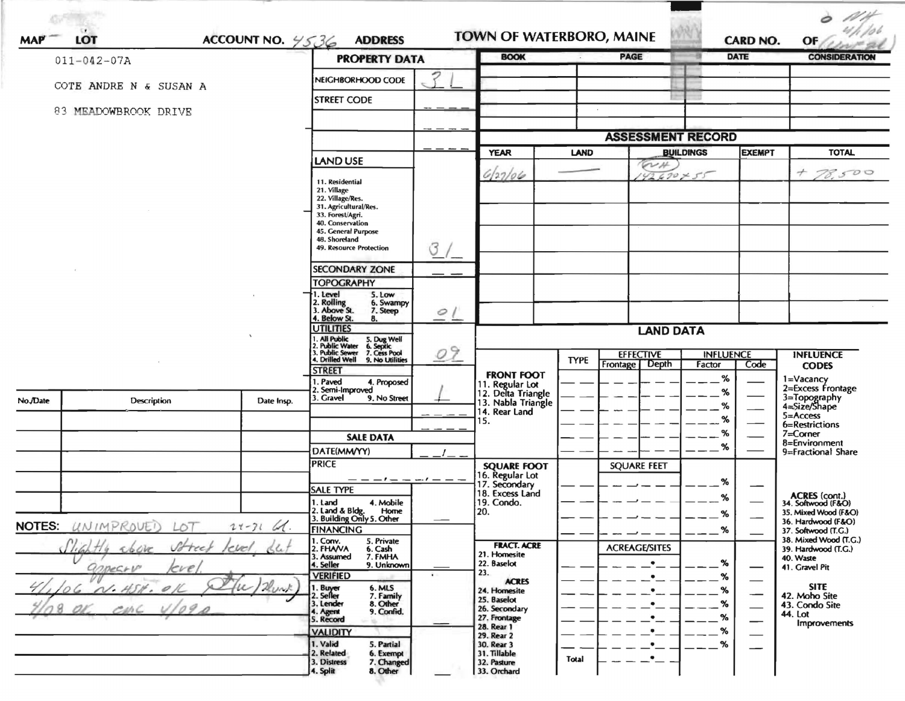| <b>MAP</b>    | <b>LOT</b>                | ACCOUNT NO. $4536$          | <b>ADDRESS</b>                                                                              |                 |                                                             |             | <b>TOWN OF WATERBORO, MAINE</b> |                  | <b>CARD NO.</b> | OF                                                          |
|---------------|---------------------------|-----------------------------|---------------------------------------------------------------------------------------------|-----------------|-------------------------------------------------------------|-------------|---------------------------------|------------------|-----------------|-------------------------------------------------------------|
|               | $011 - 042 - 07A$         |                             | <b>PROPERTY DATA</b>                                                                        |                 | <b>BOOK</b>                                                 |             | PAGE                            |                  | <b>DATE</b>     | <b>CONSIDERATION</b>                                        |
|               | COTE ANDRE N & SUSAN A    |                             | NEIGHBORHOOD CODE                                                                           |                 |                                                             |             |                                 |                  |                 |                                                             |
|               |                           |                             | <b>STREET CODE</b>                                                                          |                 |                                                             |             |                                 |                  |                 |                                                             |
|               | 83 MEADOWBROOK DRIVE      |                             |                                                                                             |                 |                                                             |             |                                 |                  |                 |                                                             |
|               |                           |                             |                                                                                             |                 |                                                             |             | <b>ASSESSMENT RECORD</b>        |                  |                 |                                                             |
|               |                           |                             | LAND USE                                                                                    |                 | <b>YEAR</b>                                                 | <b>LAND</b> |                                 | <b>BUILDINGS</b> | <b>EXEMPT</b>   | <b>TOTAL</b>                                                |
|               |                           |                             |                                                                                             |                 | 6127/06                                                     |             | WH.<br>$42670 + 55$             |                  |                 | 78,500                                                      |
|               |                           |                             | 11. Residential<br>21. Village                                                              |                 |                                                             |             |                                 |                  |                 |                                                             |
|               |                           |                             | 22. Village/Res.<br>31. Agricultural/Res.                                                   |                 |                                                             |             |                                 |                  |                 |                                                             |
|               |                           |                             | 33. Forest/Agri.<br>40. Conservation                                                        |                 |                                                             |             |                                 |                  |                 |                                                             |
|               |                           |                             | 45. General Purpose<br>48. Shoreland                                                        |                 |                                                             |             |                                 |                  |                 |                                                             |
|               |                           |                             | 49. Resource Protection                                                                     | $\sigma$        |                                                             |             |                                 |                  |                 |                                                             |
|               |                           |                             | <b>SECONDARY ZONE</b>                                                                       |                 |                                                             |             |                                 |                  |                 |                                                             |
|               |                           |                             | <b>TOPOGRAPHY</b>                                                                           |                 |                                                             |             |                                 |                  |                 |                                                             |
|               |                           |                             | 1. Level<br>5. Low<br>2. Rolling<br>3. Above St.<br>6. Swampy                               |                 |                                                             |             |                                 |                  |                 |                                                             |
|               |                           |                             | 7. Steep<br>4. Below St.<br>8.                                                              | $\circ$         |                                                             |             |                                 |                  |                 |                                                             |
|               |                           |                             | <b>UTILITIES</b>                                                                            |                 |                                                             |             | <b>LAND DATA</b>                |                  |                 |                                                             |
|               |                           |                             | 2. Public United S. Dug Well<br>3. Public Sewer 5. Cess Pool<br>4. Drilled Well 9. No Luise | 09              |                                                             |             | <b>EFFECTIVE</b>                | <b>INFLUENCE</b> |                 | <b>INFLUENCE</b>                                            |
|               |                           |                             | <b>STREET</b>                                                                               |                 |                                                             | <b>TYPE</b> | <b>Depth</b><br>Frontage        | Factor           | Code            | <b>CODES</b>                                                |
|               |                           |                             | I. Paved<br>4. Proposed                                                                     |                 | <b>FRONT FOOT</b>                                           |             |                                 | %                |                 | 1=Vacancy<br>2=Excess Frontage                              |
| No.JDate      | Description               | Date Insp.                  | 2. Semi-Improved<br>3. Gravel<br>9. No Street                                               |                 | 11. Regular Lot<br>12. Delta Triangle<br>13. Nabla Triangle |             |                                 | %                |                 | 3=Topography<br>4=Size/Shape                                |
|               |                           |                             |                                                                                             |                 | 14. Rear Land                                               |             |                                 | %<br>%           |                 | 5=Access                                                    |
|               |                           |                             |                                                                                             |                 | 15.                                                         |             |                                 | %                |                 | 6=Restrictions<br>7=Corner                                  |
|               |                           |                             | <b>SALE DATA</b><br>DATE(MM/YY)                                                             |                 |                                                             |             |                                 | %                |                 | 8=Environment<br>9=Fractional Share                         |
|               |                           |                             | <b>PRICE</b>                                                                                |                 | <b>SQUARE FOOT</b>                                          |             | <b>SQUARE FEET</b>              |                  |                 |                                                             |
|               |                           |                             |                                                                                             | $-1 - - -1 - -$ | 16. Regular Lot                                             |             |                                 | %                |                 |                                                             |
|               |                           |                             | <b>SALE TYPE</b>                                                                            |                 | 17. Secondary<br>18. Excess Land                            |             |                                 | %                |                 |                                                             |
|               |                           |                             | 1. Land<br>4. Mobile<br>Home                                                                |                 | 19. Condo.<br>20.                                           |             |                                 | %                |                 | ACRES (cont.)<br>34. Softwood (F&O)<br>35. Mixed Wood (F&O) |
| <b>NOTES:</b> | UNIMPROVEI<br>LO T        | $24 - 31$<br>$\mathcal{A}.$ | 2. Land & Bldg. Home<br>3. Building Only 5. Other<br><b>FINANCING</b>                       |                 |                                                             |             |                                 | .%               |                 | 36. Hardwood (F&O)                                          |
|               |                           |                             | 1. Conv.<br>5. Private                                                                      |                 | <b>FRACT. ACRE</b>                                          |             |                                 |                  |                 | 37. Softwood (T.G.)<br>38. Mixed Wood (T.G.)                |
|               | 166<br>Street<br>abore    | Le<br>level                 | 2. FHAVA<br>6. Cash<br>7. FMHA<br>3. Assumed                                                |                 | 21. Homesite                                                |             | <b>ACREAGE/SITES</b>            |                  |                 | 39. Hardwood (T.G.)<br>40. Waste                            |
|               | appeare<br>eve,           |                             | 9. Unknown<br>4. Seller<br><b>VERIFIED</b>                                                  |                 | 22. Baselot<br>23.                                          |             | $\bullet$                       | %<br>%           | –               | 41. Gravel Pit                                              |
|               | O/L<br>$\mathcal{N}$ . H. | 2 unk<br>$\mu$              | 1. Buy <del>er</del><br>2. Seller<br>6. MLS<br>7. Family                                    |                 | <b>ACRES</b><br>24. Homesite                                |             |                                 | %                |                 | <b>SITE</b>                                                 |
|               | 0 <sup>o</sup>            |                             | 3. Lender<br>8. Other<br>9. Confid.                                                         |                 | 25. Baselot                                                 |             | $\bullet$                       | %                |                 | 42. Moho Site<br>43. Condo Site                             |
|               | B                         |                             | 4. Agent<br>5. Record                                                                       |                 | 26. Secondary<br>27. Frontage                               |             | ٠                               | ℅                | —               | 44. Lot<br><b>Improvements</b>                              |
|               |                           |                             | <b>VALIDITY</b>                                                                             |                 | 28. Rear 1<br>29. Rear 2                                    |             | ٠                               | %                |                 |                                                             |
|               |                           |                             | 1. Valid<br>5. Partial<br>2. Related<br>6. Exempt                                           |                 | 30. Rear 3<br>31. Tillable                                  |             | ٠                               | %                |                 |                                                             |
|               |                           |                             | 7. Changed<br>3. Distress<br>8. Other                                                       |                 | 32. Pasture<br>33. Orchard                                  | Total       | $\bullet$                       |                  |                 |                                                             |

---